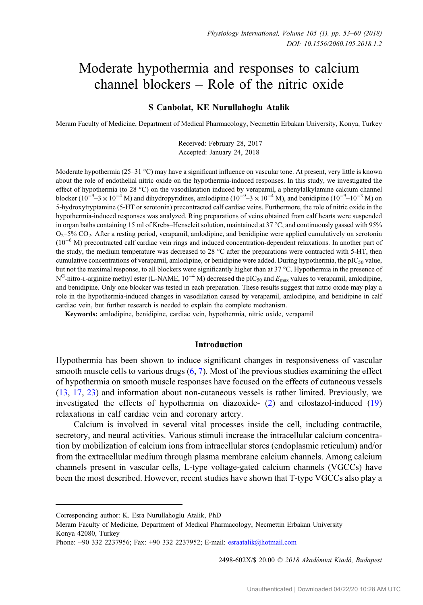# Moderate hypothermia and responses to calcium channel blockers – Role of the nitric oxide

#### S Canbolat, KE Nurullahoglu Atalik

Meram Faculty of Medicine, Department of Medical Pharmacology, Necmettin Erbakan University, Konya, Turkey

Received: February 28, 2017 Accepted: January 24, 2018

Moderate hypothermia (25–31 °C) may have a significant influence on vascular tone. At present, very little is known about the role of endothelial nitric oxide on the hypothermia-induced responses. In this study, we investigated the effect of hypothermia (to 28 °C) on the vasodilatation induced by verapamil, a phenylalkylamine calcium channel<br>blocker (10<sup>-9</sup>-3 × 10<sup>-4</sup> M) and dihydropyridines, amlodipine (10<sup>-9</sup>-3 × 10<sup>-4</sup> M), and benidipine (10<sup>-9</sup>-5-hydroxytryptamine (5-HT or serotonin) precontracted calf cardiac veins. Furthermore, the role of nitric oxide in the hypothermia-induced responses was analyzed. Ring preparations of veins obtained from calf hearts were suspended in organ baths containing 15 ml of Krebs–Henseleit solution, maintained at 37 °C, and continuously gassed with 95%  $O<sub>2</sub>$ –5% CO<sub>2</sub>. After a resting period, verapamil, amlodipine, and benidipine were applied cumulatively on serotonin (10−<sup>6</sup> M) precontracted calf cardiac vein rings and induced concentration-dependent relaxations. In another part of the study, the medium temperature was decreased to 28 °C after the preparations were contracted with 5-HT, then cumulative concentrations of verapamil, amlodipine, or benidipine were added. During hypothermia, the pIC<sub>50</sub> value, but not the maximal response, to all blockers were significantly higher than at 37 °C. Hypothermia in the presence of  $N<sup>G</sup>$ -nitro-L-arginine methyl ester (L-NAME, 10<sup>-4</sup> M) decreased the pIC<sub>50</sub> and  $E<sub>max</sub>$  values to verapamil, amlodipine, and benidipine. Only one blocker was tested in each preparation. These results suggest that nitric oxide may play a role in the hypothermia-induced changes in vasodilation caused by verapamil, amlodipine, and benidipine in calf cardiac vein, but further research is needed to explain the complete mechanism.

Keywords: amlodipine, benidipine, cardiac vein, hypothermia, nitric oxide, verapamil

## Introduction

Hypothermia has been shown to induce significant changes in responsiveness of vascular smooth muscle cells to various drugs  $(6, 7)$  $(6, 7)$  $(6, 7)$  $(6, 7)$  $(6, 7)$ . Most of the previous studies examining the effect of hypothermia on smooth muscle responses have focused on the effects of cutaneous vessels [\(13](#page-7-0), [17](#page-7-0), [23\)](#page-7-0) and information about non-cutaneous vessels is rather limited. Previously, we investigated the effects of hypothermia on diazoxide- ([2\)](#page-6-0) and cilostazol-induced ([19\)](#page-7-0) relaxations in calf cardiac vein and coronary artery.

Calcium is involved in several vital processes inside the cell, including contractile, secretory, and neural activities. Various stimuli increase the intracellular calcium concentration by mobilization of calcium ions from intracellular stores (endoplasmic reticulum) and/or from the extracellular medium through plasma membrane calcium channels. Among calcium channels present in vascular cells, L-type voltage-gated calcium channels (VGCCs) have been the most described. However, recent studies have shown that T-type VGCCs also play a

2498-602X/\$ 20.00 © 2018 Akadémiai Kiadó, Budapest

Corresponding author: K. Esra Nurullahoglu Atalik, PhD

Meram Faculty of Medicine, Department of Medical Pharmacology, Necmettin Erbakan University Konya 42080, Turkey

Phone: +90 332 2237956; Fax: +90 332 2237952; E-mail: [esraatalik@hotmail.com](mailto:esraatalik@hotmail.com)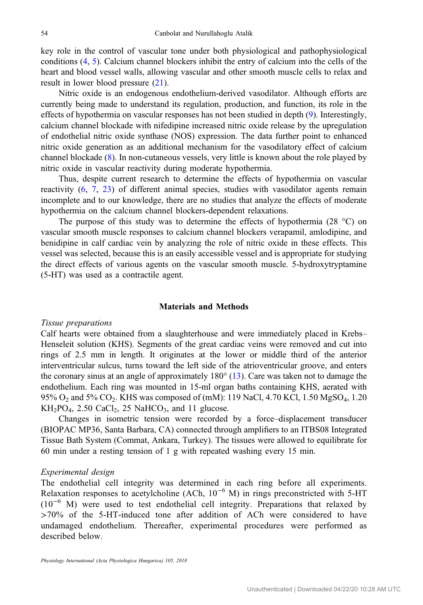key role in the control of vascular tone under both physiological and pathophysiological conditions [\(4](#page-6-0), [5\)](#page-6-0). Calcium channel blockers inhibit the entry of calcium into the cells of the heart and blood vessel walls, allowing vascular and other smooth muscle cells to relax and result in lower blood pressure ([21\)](#page-7-0).

Nitric oxide is an endogenous endothelium-derived vasodilator. Although efforts are currently being made to understand its regulation, production, and function, its role in the effects of hypothermia on vascular responses has not been studied in depth [\(9](#page-7-0)). Interestingly, calcium channel blockade with nifedipine increased nitric oxide release by the upregulation of endothelial nitric oxide synthase (NOS) expression. The data further point to enhanced nitric oxide generation as an additional mechanism for the vasodilatory effect of calcium channel blockade ([8\)](#page-6-0). In non-cutaneous vessels, very little is known about the role played by nitric oxide in vascular reactivity during moderate hypothermia.

Thus, despite current research to determine the effects of hypothermia on vascular reactivity [\(6](#page-6-0), [7](#page-6-0), [23\)](#page-7-0) of different animal species, studies with vasodilator agents remain incomplete and to our knowledge, there are no studies that analyze the effects of moderate hypothermia on the calcium channel blockers-dependent relaxations.

The purpose of this study was to determine the effects of hypothermia (28  $^{\circ}$ C) on vascular smooth muscle responses to calcium channel blockers verapamil, amlodipine, and benidipine in calf cardiac vein by analyzing the role of nitric oxide in these effects. This vessel was selected, because this is an easily accessible vessel and is appropriate for studying the direct effects of various agents on the vascular smooth muscle. 5-hydroxytryptamine (5-HT) was used as a contractile agent.

#### Materials and Methods

#### Tissue preparations

Calf hearts were obtained from a slaughterhouse and were immediately placed in Krebs– Henseleit solution (KHS). Segments of the great cardiac veins were removed and cut into rings of 2.5 mm in length. It originates at the lower or middle third of the anterior interventricular sulcus, turns toward the left side of the atrioventricular groove, and enters the coronary sinus at an angle of approximately 180° [\(13](#page-7-0)). Care was taken not to damage the endothelium. Each ring was mounted in 15-ml organ baths containing KHS, aerated with 95%  $O_2$  and 5%  $CO_2$ . KHS was composed of (mM): 119 NaCl, 4.70 KCl, 1.50 MgSO<sub>4</sub>, 1.20  $KH_2PO_4$ , 2.50 CaCl<sub>2</sub>, 25 NaHCO<sub>3</sub>, and 11 glucose.

Changes in isometric tension were recorded by a force–displacement transducer (BIOPAC MP36, Santa Barbara, CA) connected through amplifiers to an ITBS08 Integrated Tissue Bath System (Commat, Ankara, Turkey). The tissues were allowed to equilibrate for 60 min under a resting tension of 1 g with repeated washing every 15 min.

## Experimental design

The endothelial cell integrity was determined in each ring before all experiments. Relaxation responses to acetylcholine (ACh,  $10^{-6}$  M) in rings preconstricted with 5-HT  $(10^{-6}$  M) were used to test endothelial cell integrity. Preparations that relaxed by >70% of the 5-HT-induced tone after addition of ACh were considered to have undamaged endothelium. Thereafter, experimental procedures were performed as described below.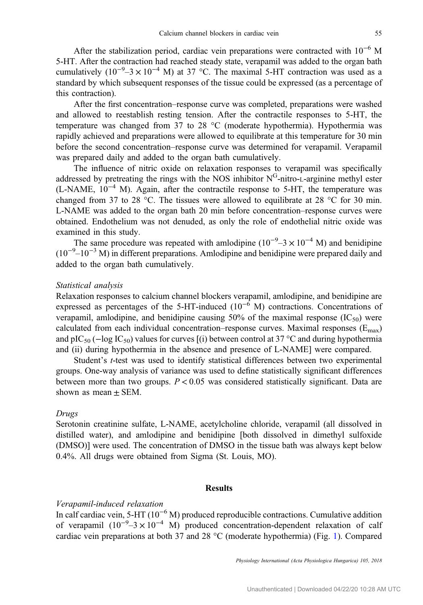After the stabilization period, cardiac vein preparations were contracted with 10−<sup>6</sup> M 5-HT. After the contraction had reached steady state, verapamil was added to the organ bath cumulatively  $(10^{-9} - 3 \times 10^{-4} \text{ M})$  at 37 °C. The maximal 5-HT contraction was used as a standard by which subsequent responses of the tissue could be expressed (as a percentage of this contraction).

After the first concentration–response curve was completed, preparations were washed and allowed to reestablish resting tension. After the contractile responses to 5-HT, the temperature was changed from 37 to 28 °C (moderate hypothermia). Hypothermia was rapidly achieved and preparations were allowed to equilibrate at this temperature for 30 min before the second concentration–response curve was determined for verapamil. Verapamil was prepared daily and added to the organ bath cumulatively.

The influence of nitric oxide on relaxation responses to verapamil was specifically addressed by pretreating the rings with the NOS inhibitor  $N<sup>G</sup>$ -nitro-L-arginine methyl ester (L-NAME, 10−<sup>4</sup> M). Again, after the contractile response to 5-HT, the temperature was changed from 37 to 28 °C. The tissues were allowed to equilibrate at 28 °C for 30 min. L-NAME was added to the organ bath 20 min before concentration–response curves were obtained. Endothelium was not denuded, as only the role of endothelial nitric oxide was examined in this study.

The same procedure was repeated with amlodipine  $(10^{-9} - 3 \times 10^{-4} \text{ M})$  and benidipine  $(10^{-9}$ – $10^{-3}$  M) in different preparations. Amlodipine and benidipine were prepared daily and added to the organ bath cumulatively.

#### Statistical analysis

Relaxation responses to calcium channel blockers verapamil, amlodipine, and benidipine are expressed as percentages of the 5-HT-induced  $(10^{-6}$  M) contractions. Concentrations of verapamil, amlodipine, and benidipine causing 50% of the maximal response  $(IC_{50})$  were calculated from each individual concentration–response curves. Maximal responses  $(E_{\text{max}})$ and pIC<sub>50</sub> ( $-\log$  IC<sub>50</sub>) values for curves [(i) between control at 37 °C and during hypothermia and (ii) during hypothermia in the absence and presence of L-NAME] were compared.

Student's t-test was used to identify statistical differences between two experimental groups. One-way analysis of variance was used to define statistically significant differences between more than two groups.  $P < 0.05$  was considered statistically significant. Data are shown as mean  $\pm$  SEM.

#### Drugs

Serotonin creatinine sulfate, L-NAME, acetylcholine chloride, verapamil (all dissolved in distilled water), and amlodipine and benidipine [both dissolved in dimethyl sulfoxide (DMSO)] were used. The concentration of DMSO in the tissue bath was always kept below 0.4%. All drugs were obtained from Sigma (St. Louis, MO).

## Results

## Verapamil-induced relaxation

In calf cardiac vein, 5-HT ( $10^{-6}$  M) produced reproducible contractions. Cumulative addition of verapamil  $(10^{-9}-3 \times 10^{-4}$  M) produced concentration-dependent relaxation of calf cardiac vein preparations at both 37 and 28 °C (moderate hypothermia) (Fig. [1\)](#page-3-0). Compared

Physiology International (Acta Physiologica Hungarica) 105, 2018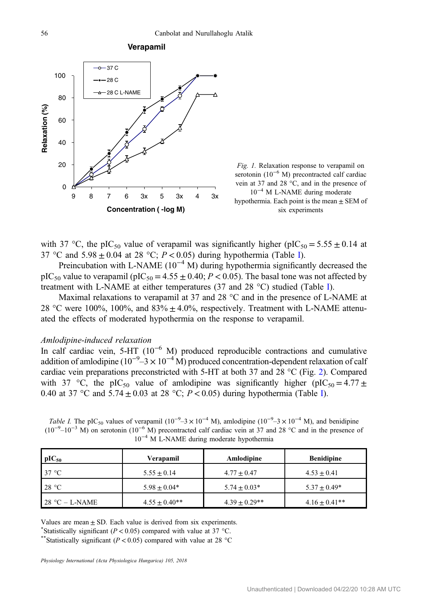<span id="page-3-0"></span>





with 37 °C, the pIC<sub>50</sub> value of verapamil was significantly higher (pIC<sub>50</sub> = 5.55  $\pm$  0.14 at 37 °C and  $5.98 \pm 0.04$  at 28 °C;  $P < 0.05$ ) during hypothermia (Table I).

Preincubation with L-NAME (10<sup>-4</sup> M) during hypothermia significantly decreased the pIC<sub>50</sub> value to verapamil (pIC<sub>50</sub> = 4.55  $\pm$  0.40; *P* < 0.05). The basal tone was not affected by treatment with L-NAME at either temperatures (37 and 28 °C) studied (Table I).

Maximal relaxations to verapamil at 37 and 28 °C and in the presence of L-NAME at 28 °C were 100%, 100%, and  $83\% \pm 4.0\%$ , respectively. Treatment with L-NAME attenuated the effects of moderated hypothermia on the response to verapamil.

#### Amlodipine-induced relaxation

In calf cardiac vein, 5-HT (10−<sup>6</sup> M) produced reproducible contractions and cumulative addition of amlodipine ( $10^{-9}$ –3 ×  $10^{-4}$  M) produced concentration-dependent relaxation of calf cardiac vein preparations preconstricted with 5-HT at both 37 and 28 °C (Fig. [2\)](#page-4-0). Compared with 37 °C, the pIC<sub>50</sub> value of amlodipine was significantly higher (pIC<sub>50</sub> = 4.77 ± 0.40 at 37 °C and  $5.74 \pm 0.03$  at 28 °C;  $P < 0.05$ ) during hypothermia (Table I).

| To in E runnel daring moderate hypomerima |                   |                    |                    |
|-------------------------------------------|-------------------|--------------------|--------------------|
| $pIC_{50}$                                | Verapamil         | Amlodipine         | <b>Benidipine</b>  |
| $37^{\circ}$ C                            | $5.55 + 0.14$     | $4.77 \pm 0.47$    | $4.53 + 0.41$      |
| 28 °C                                     | $5.98 + 0.04*$    | $5.74 \pm 0.03*$   | $5.37 \pm 0.49*$   |
| $28 °C - L-NAME$                          | $4.55 \pm 0.40**$ | $4.39 \pm 0.29$ ** | $4.16 \pm 0.41$ ** |

Table I. The pIC<sub>50</sub> values of verapamil (10<sup>-9</sup>-3 × 10<sup>-4</sup> M), amlodipine (10<sup>-9</sup>-3 × 10<sup>-4</sup> M), and benidipine  $(10^{-9}-10^{-3}$  M) on serotonin  $(10^{-6}$  M) precontracted calf cardiac vein at 37 and 28 °C and in the presence of 10−<sup>4</sup> M L-NAME during moderate hypothermia

Values are mean  $\pm$  SD. Each value is derived from six experiments. \*Statistically significant ( $P < 0.05$ ) compared with value at 37 °C.

\*\*Statistically significant ( $P < 0.05$ ) compared with value at 28 °C.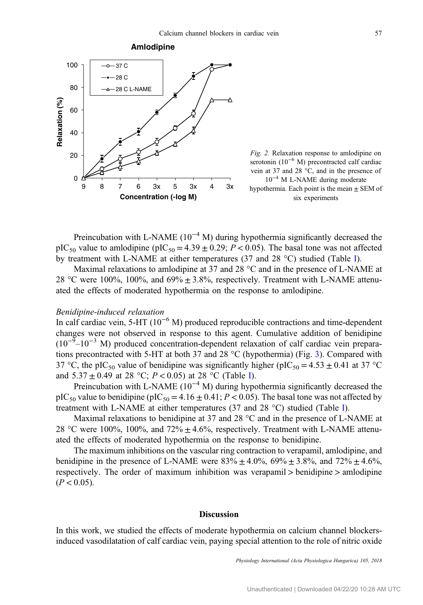<span id="page-4-0"></span>



Preincubation with L-NAME ( $10^{-4}$  M) during hypothermia significantly decreased the pIC<sub>50</sub> value to amlodipine (pIC<sub>50</sub> = 4.39  $\pm$  0.29; P < 0.05). The basal tone was not affected by treatment with L-NAME at either temperatures (37 and 28 °C) studied (Table [I\)](#page-3-0).

Maximal relaxations to amlodipine at 37 and 28 °C and in the presence of L-NAME at 28 °C were 100%, 100%, and 69%  $\pm$  3.8%, respectively. Treatment with L-NAME attenuated the effects of moderated hypothermia on the response to amlodipine.

### Benidipine-induced relaxation

In calf cardiac vein, 5-HT (10−<sup>6</sup> M) produced reproducible contractions and time-dependent changes were not observed in response to this agent. Cumulative addition of benidipine  $(10^{-9} - 10^{-3}$  M) produced concentration-dependent relaxation of calf cardiac vein preparations precontracted with 5-HT at both 37 and 28 °C (hypothermia) (Fig. [3\)](#page-5-0). Compared with 37 °C, the pIC<sub>50</sub> value of benidipine was significantly higher (pIC<sub>50</sub> = 4.53  $\pm$  0.41 at 37 °C and  $5.37 \pm 0.49$  at 28 °C;  $P < 0.05$ ) at 28 °C (Table [I\)](#page-3-0).

Preincubation with L-NAME ( $10^{-4}$  M) during hypothermia significantly decreased the pIC<sub>50</sub> value to benidipine (pIC<sub>50</sub> = 4.16  $\pm$  0.41; P < 0.05). The basal tone was not affected by treatment with L-NAME at either temperatures (37 and 28 °C) studied (Table [I](#page-3-0)).

Maximal relaxations to benidipine at 37 and 28 °C and in the presence of L-NAME at 28 °C were 100%, 100%, and 72%  $\pm$  4.6%, respectively. Treatment with L-NAME attenuated the effects of moderated hypothermia on the response to benidipine.

The maximum inhibitions on the vascular ring contraction to verapamil, amlodipine, and benidipine in the presence of L-NAME were  $83\% \pm 4.0\%$ ,  $69\% \pm 3.8\%$ , and  $72\% \pm 4.6\%$ , respectively. The order of maximum inhibition was verapamil > benidipine > amlodipine  $(P < 0.05)$ .

#### Discussion

In this work, we studied the effects of moderate hypothermia on calcium channel blockersinduced vasodilatation of calf cardiac vein, paying special attention to the role of nitric oxide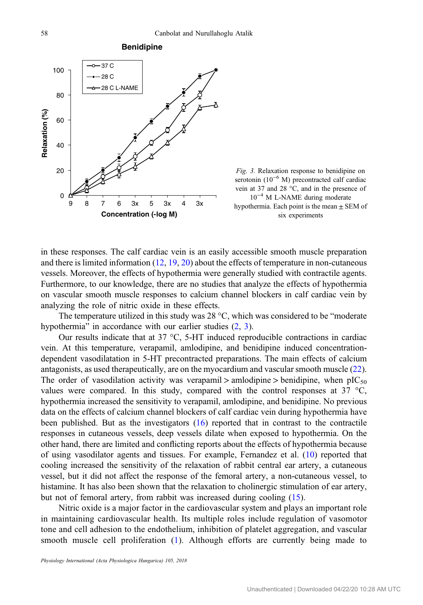<span id="page-5-0"></span>

**Benidipine**



in these responses. The calf cardiac vein is an easily accessible smooth muscle preparation and there is limited information ([12,](#page-7-0) [19](#page-7-0), [20\)](#page-7-0) about the effects of temperature in non-cutaneous vessels. Moreover, the effects of hypothermia were generally studied with contractile agents. Furthermore, to our knowledge, there are no studies that analyze the effects of hypothermia on vascular smooth muscle responses to calcium channel blockers in calf cardiac vein by analyzing the role of nitric oxide in these effects.

The temperature utilized in this study was 28 °C, which was considered to be "moderate hypothermia" in accordance with our earlier studies  $(2, 3)$  $(2, 3)$  $(2, 3)$  $(2, 3)$ .

Our results indicate that at 37 °C, 5-HT induced reproducible contractions in cardiac vein. At this temperature, verapamil, amlodipine, and benidipine induced concentrationdependent vasodilatation in 5-HT precontracted preparations. The main effects of calcium antagonists, as used therapeutically, are on the myocardium and vascular smooth muscle [\(22](#page-7-0)). The order of vasodilation activity was verapamil > amlodipine > benidipine, when  $pIC_{50}$ values were compared. In this study, compared with the control responses at 37  $\degree$ C, hypothermia increased the sensitivity to verapamil, amlodipine, and benidipine. No previous data on the effects of calcium channel blockers of calf cardiac vein during hypothermia have been published. But as the investigators ([16\)](#page-7-0) reported that in contrast to the contractile responses in cutaneous vessels, deep vessels dilate when exposed to hypothermia. On the other hand, there are limited and conflicting reports about the effects of hypothermia because of using vasodilator agents and tissues. For example, Fernandez et al. ([10\)](#page-7-0) reported that cooling increased the sensitivity of the relaxation of rabbit central ear artery, a cutaneous vessel, but it did not affect the response of the femoral artery, a non-cutaneous vessel, to histamine. It has also been shown that the relaxation to cholinergic stimulation of ear artery, but not of femoral artery, from rabbit was increased during cooling [\(15](#page-7-0)).

Nitric oxide is a major factor in the cardiovascular system and plays an important role in maintaining cardiovascular health. Its multiple roles include regulation of vasomotor tone and cell adhesion to the endothelium, inhibition of platelet aggregation, and vascular smooth muscle cell proliferation ([1](#page-6-0)). Although efforts are currently being made to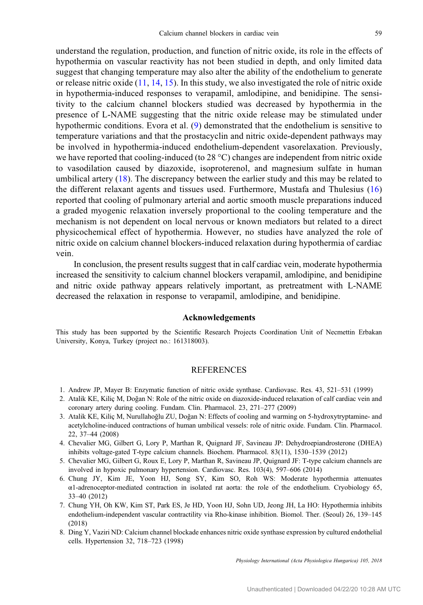<span id="page-6-0"></span>understand the regulation, production, and function of nitric oxide, its role in the effects of hypothermia on vascular reactivity has not been studied in depth, and only limited data suggest that changing temperature may also alter the ability of the endothelium to generate or release nitric oxide  $(11, 14, 15)$  $(11, 14, 15)$  $(11, 14, 15)$  $(11, 14, 15)$  $(11, 14, 15)$  $(11, 14, 15)$ . In this study, we also investigated the role of nitric oxide in hypothermia-induced responses to verapamil, amlodipine, and benidipine. The sensitivity to the calcium channel blockers studied was decreased by hypothermia in the presence of L-NAME suggesting that the nitric oxide release may be stimulated under hypothermic conditions. Evora et al. [\(9](#page-7-0)) demonstrated that the endothelium is sensitive to temperature variations and that the prostacyclin and nitric oxide-dependent pathways may be involved in hypothermia-induced endothelium-dependent vasorelaxation. Previously, we have reported that cooling-induced (to 28 °C) changes are independent from nitric oxide to vasodilation caused by diazoxide, isoproterenol, and magnesium sulfate in human umbilical artery [\(18](#page-7-0)). The discrepancy between the earlier study and this may be related to the different relaxant agents and tissues used. Furthermore, Mustafa and Thulesius ([16\)](#page-7-0) reported that cooling of pulmonary arterial and aortic smooth muscle preparations induced a graded myogenic relaxation inversely proportional to the cooling temperature and the mechanism is not dependent on local nervous or known mediators but related to a direct physicochemical effect of hypothermia. However, no studies have analyzed the role of nitric oxide on calcium channel blockers-induced relaxation during hypothermia of cardiac vein.

In conclusion, the present results suggest that in calf cardiac vein, moderate hypothermia increased the sensitivity to calcium channel blockers verapamil, amlodipine, and benidipine and nitric oxide pathway appears relatively important, as pretreatment with L-NAME decreased the relaxation in response to verapamil, amlodipine, and benidipine.

#### Acknowledgements

This study has been supported by the Scientific Research Projects Coordination Unit of Necmettin Erbakan University, Konya, Turkey (project no.: 161318003).

#### **REFERENCES**

- 1. Andrew JP, Mayer B: Enzymatic function of nitric oxide synthase. Cardiovasc. Res. 43, 521–531 (1999)
- 2. Atalik KE, Kiliç M, Dogan N: Role of the nitric oxide on diazoxide-induced relaxation of calf cardiac vein and ˘ coronary artery during cooling. Fundam. Clin. Pharmacol. 23, 271–277 (2009)
- 3. Atalik KE, Kiliç M, Nurullahoğlu ZU, Doğan N: Effects of cooling and warming on 5-hydroxytryptamine- and acetylcholine-induced contractions of human umbilical vessels: role of nitric oxide. Fundam. Clin. Pharmacol. 22, 37–44 (2008)
- 4. Chevalier MG, Gilbert G, Lory P, Marthan R, Quignard JF, Savineau JP: Dehydroepiandrosterone (DHEA) inhibits voltage-gated T-type calcium channels. Biochem. Pharmacol. 83(11), 1530–1539 (2012)
- 5. Chevalier MG, Gilbert G, Roux E, Lory P, Marthan R, Savineau JP, Quignard JF: T-type calcium channels are involved in hypoxic pulmonary hypertension. Cardiovasc. Res. 103(4), 597–606 (2014)
- 6. Chung JY, Kim JE, Yoon HJ, Song SY, Kim SO, Roh WS: Moderate hypothermia attenuates  $\alpha$ 1-adrenoceptor-mediated contraction in isolated rat aorta: the role of the endothelium. Cryobiology 65, 33–40 (2012)
- 7. Chung YH, Oh KW, Kim ST, Park ES, Je HD, Yoon HJ, Sohn UD, Jeong JH, La HO: Hypothermia inhibits endothelium-independent vascular contractility via Rho-kinase inhibition. Biomol. Ther. (Seoul) 26, 139–145 (2018)
- 8. Ding Y, Vaziri ND: Calcium channel blockade enhances nitric oxide synthase expression by cultured endothelial cells. Hypertension 32, 718–723 (1998)

Physiology International (Acta Physiologica Hungarica) 105, 2018